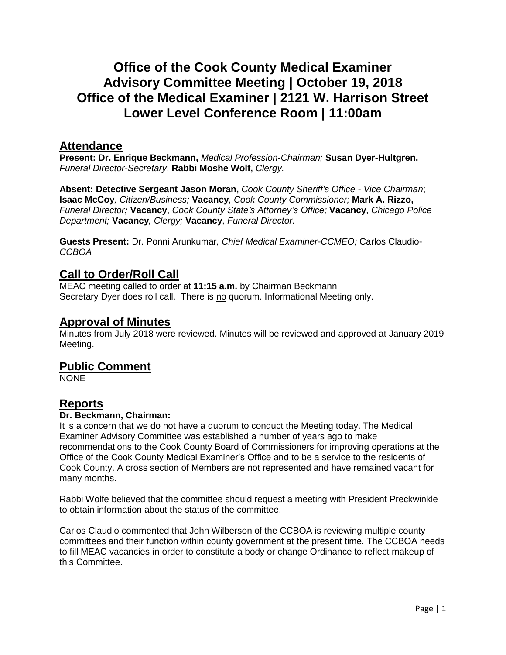# **Office of the Cook County Medical Examiner Advisory Committee Meeting | October 19, 2018 Office of the Medical Examiner | 2121 W. Harrison Street Lower Level Conference Room | 11:00am**

### **Attendance**

**Present: Dr. Enrique Beckmann,** *Medical Profession-Chairman;* **Susan Dyer-Hultgren,** *Funeral Director-Secretary*; **Rabbi Moshe Wolf,** *Clergy.*

**Absent: Detective Sergeant Jason Moran,** *Cook County Sheriff's Office - Vice Chairman*; **Isaac McCoy***, Citizen/Business;* **Vacancy**, *Cook County Commissioner;* **Mark A. Rizzo,** *Funeral Director;* **Vacancy**, *Cook County State's Attorney's Office;* **Vacancy**, *Chicago Police Department;* **Vacancy***, Clergy;* **Vacancy**, *Funeral Director.*

**Guests Present:** Dr. Ponni Arunkumar*, Chief Medical Examiner-CCMEO;* Carlos Claudio-*CCBOA*

## **Call to Order/Roll Call**

MEAC meeting called to order at **11:15 a.m.** by Chairman Beckmann Secretary Dyer does roll call. There is no quorum. Informational Meeting only.

### **Approval of Minutes**

Minutes from July 2018 were reviewed. Minutes will be reviewed and approved at January 2019 Meeting.

### **Public Comment**

**NONE** 

# **Reports**

#### **Dr. Beckmann, Chairman:**

It is a concern that we do not have a quorum to conduct the Meeting today. The Medical Examiner Advisory Committee was established a number of years ago to make recommendations to the Cook County Board of Commissioners for improving operations at the Office of the Cook County Medical Examiner's Office and to be a service to the residents of Cook County. A cross section of Members are not represented and have remained vacant for many months.

Rabbi Wolfe believed that the committee should request a meeting with President Preckwinkle to obtain information about the status of the committee.

Carlos Claudio commented that John Wilberson of the CCBOA is reviewing multiple county committees and their function within county government at the present time. The CCBOA needs to fill MEAC vacancies in order to constitute a body or change Ordinance to reflect makeup of this Committee.